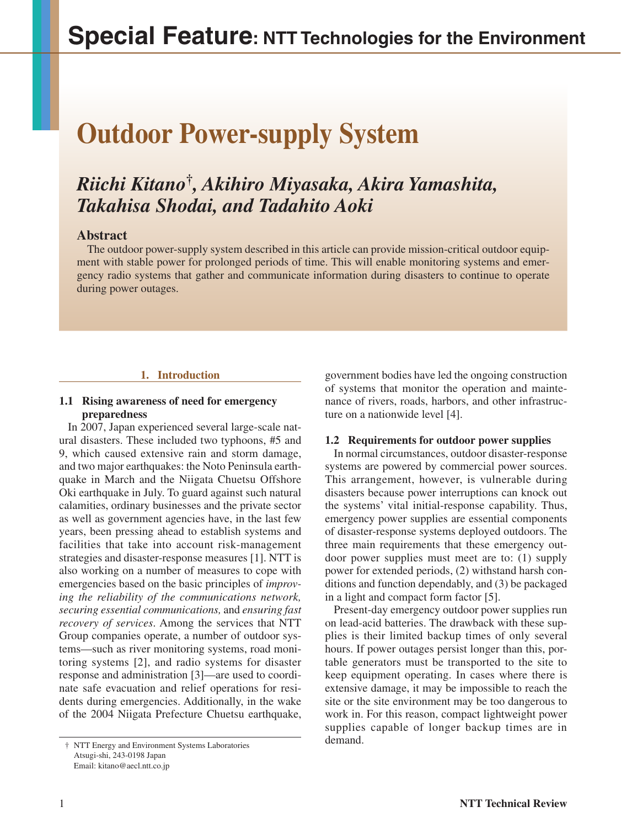# **Outdoor Power-supply System**

# *Riichi Kitano***†***, Akihiro Miyasaka, Akira Yamashita, Takahisa Shodai, and Tadahito Aoki*

# **Abstract**

The outdoor power-supply system described in this article can provide mission-critical outdoor equipment with stable power for prolonged periods of time. This will enable monitoring systems and emergency radio systems that gather and communicate information during disasters to continue to operate during power outages.

# **1. Introduction**

### **1.1 Rising awareness of need for emergency preparedness**

In 2007, Japan experienced several large-scale natural disasters. These included two typhoons, #5 and 9, which caused extensive rain and storm damage, and two major earthquakes: the Noto Peninsula earthquake in March and the Niigata Chuetsu Offshore Oki earthquake in July. To guard against such natural calamities, ordinary businesses and the private sector as well as government agencies have, in the last few years, been pressing ahead to establish systems and facilities that take into account risk-management strategies and disaster-response measures [1]. NTT is also working on a number of measures to cope with emergencies based on the basic principles of *improving the reliability of the communications network, securing essential communications,* and *ensuring fast recovery of services*. Among the services that NTT Group companies operate, a number of outdoor systems—such as river monitoring systems, road monitoring systems [2], and radio systems for disaster response and administration [3]—are used to coordinate safe evacuation and relief operations for residents during emergencies. Additionally, in the wake of the 2004 Niigata Prefecture Chuetsu earthquake, government bodies have led the ongoing construction of systems that monitor the operation and maintenance of rivers, roads, harbors, and other infrastructure on a nationwide level [4].

# **1.2 Requirements for outdoor power supplies**

In normal circumstances, outdoor disaster-response systems are powered by commercial power sources. This arrangement, however, is vulnerable during disasters because power interruptions can knock out the systems' vital initial-response capability. Thus, emergency power supplies are essential components of disaster-response systems deployed outdoors. The three main requirements that these emergency outdoor power supplies must meet are to: (1) supply power for extended periods, (2) withstand harsh conditions and function dependably, and (3) be packaged in a light and compact form factor [5].

Present-day emergency outdoor power supplies run on lead-acid batteries. The drawback with these supplies is their limited backup times of only several hours. If power outages persist longer than this, portable generators must be transported to the site to keep equipment operating. In cases where there is extensive damage, it may be impossible to reach the site or the site environment may be too dangerous to work in. For this reason, compact lightweight power supplies capable of longer backup times are in demand.

<sup>†</sup> NTT Energy and Environment Systems Laboratories Atsugi-shi, 243-0198 Japan Email: kitano@aecl.ntt.co.jp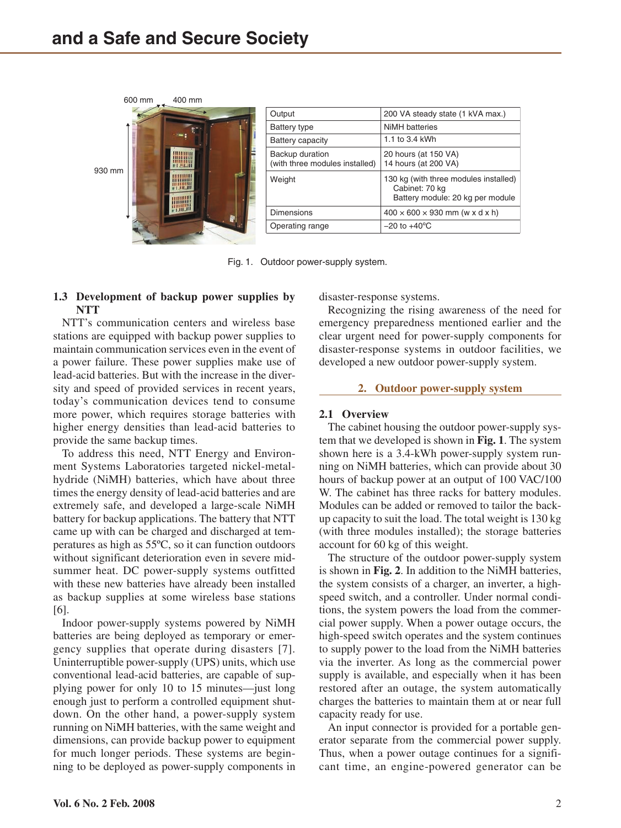

| Output                                            | 200 VA steady state (1 kVA max.)                                                            |  |
|---------------------------------------------------|---------------------------------------------------------------------------------------------|--|
| Battery type                                      | NiMH batteries                                                                              |  |
| <b>Battery capacity</b>                           | 1.1 to 3.4 kWh                                                                              |  |
| Backup duration<br>(with three modules installed) | 20 hours (at 150 VA)<br>14 hours (at 200 VA)                                                |  |
| Weight                                            | 130 kg (with three modules installed)<br>Cabinet: 70 kg<br>Battery module: 20 kg per module |  |
| <b>Dimensions</b>                                 | $400 \times 600 \times 930$ mm (w x d x h)                                                  |  |
| Operating range                                   | $-20$ to $+40^{\circ}$ C                                                                    |  |

Fig. 1. Outdoor power-supply system.

# **1.3 Development of backup power supplies by NTT**

NTT's communication centers and wireless base stations are equipped with backup power supplies to maintain communication services even in the event of a power failure. These power supplies make use of lead-acid batteries. But with the increase in the diversity and speed of provided services in recent years, today's communication devices tend to consume more power, which requires storage batteries with higher energy densities than lead-acid batteries to provide the same backup times.

To address this need, NTT Energy and Environment Systems Laboratories targeted nickel-metalhydride (NiMH) batteries, which have about three times the energy density of lead-acid batteries and are extremely safe, and developed a large-scale NiMH battery for backup applications. The battery that NTT came up with can be charged and discharged at temperatures as high as 55ºC, so it can function outdoors without significant deterioration even in severe midsummer heat. DC power-supply systems outfitted with these new batteries have already been installed as backup supplies at some wireless base stations [6].

Indoor power-supply systems powered by NiMH batteries are being deployed as temporary or emergency supplies that operate during disasters [7]. Uninterruptible power-supply (UPS) units, which use conventional lead-acid batteries, are capable of supplying power for only 10 to 15 minutes—just long enough just to perform a controlled equipment shutdown. On the other hand, a power-supply system running on NiMH batteries, with the same weight and dimensions, can provide backup power to equipment for much longer periods. These systems are beginning to be deployed as power-supply components in

disaster-response systems.

Recognizing the rising awareness of the need for emergency preparedness mentioned earlier and the clear urgent need for power-supply components for disaster-response systems in outdoor facilities, we developed a new outdoor power-supply system.

#### **2. Outdoor power-supply system**

### **2.1 Overview**

The cabinet housing the outdoor power-supply system that we developed is shown in **Fig. 1**. The system shown here is a 3.4-kWh power-supply system running on NiMH batteries, which can provide about 30 hours of backup power at an output of 100 VAC/100 W. The cabinet has three racks for battery modules. Modules can be added or removed to tailor the backup capacity to suit the load. The total weight is 130 kg (with three modules installed); the storage batteries account for 60 kg of this weight.

The structure of the outdoor power-supply system is shown in **Fig. 2**. In addition to the NiMH batteries, the system consists of a charger, an inverter, a highspeed switch, and a controller. Under normal conditions, the system powers the load from the commercial power supply. When a power outage occurs, the high-speed switch operates and the system continues to supply power to the load from the NiMH batteries via the inverter. As long as the commercial power supply is available, and especially when it has been restored after an outage, the system automatically charges the batteries to maintain them at or near full capacity ready for use.

An input connector is provided for a portable generator separate from the commercial power supply. Thus, when a power outage continues for a significant time, an engine-powered generator can be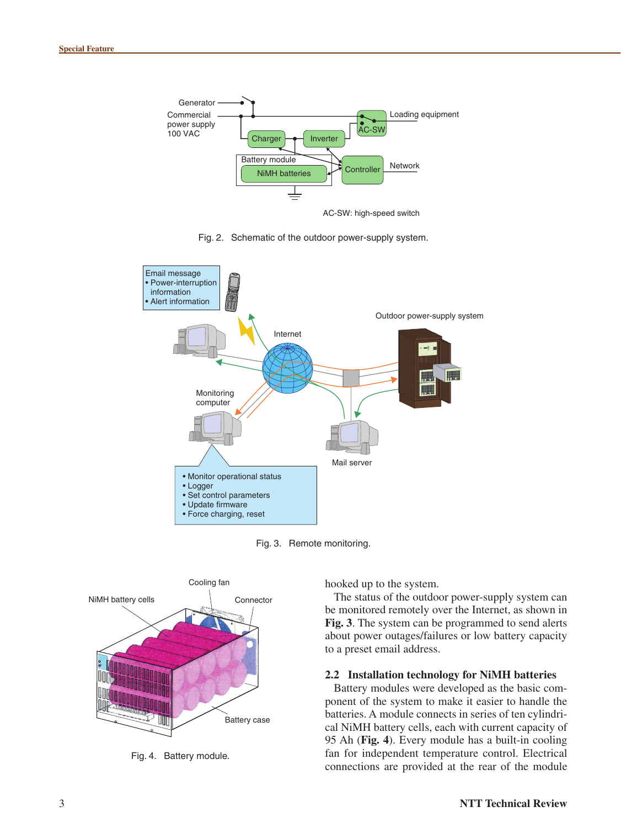

AC-SW: high-speed switch

Fig. 2. Schematic of the outdoor power-supply system.



Fig. 3. Remote monitoring.



Fig. 4. Battery module.

hooked up to the system.

The status of the outdoor power-supply system can be monitored remotely over the Internet, as shown in **Fig. 3**. The system can be programmed to send alerts about power outages/failures or low battery capacity to a preset email address.

#### **2.2 Installation technology for NiMH batteries**

Battery modules were developed as the basic component of the system to make it easier to handle the batteries. A module connects in series of ten cylindrical NiMH battery cells, each with current capacity of 95 Ah (**Fig. 4**). Every module has a built-in cooling fan for independent temperature control. Electrical connections are provided at the rear of the module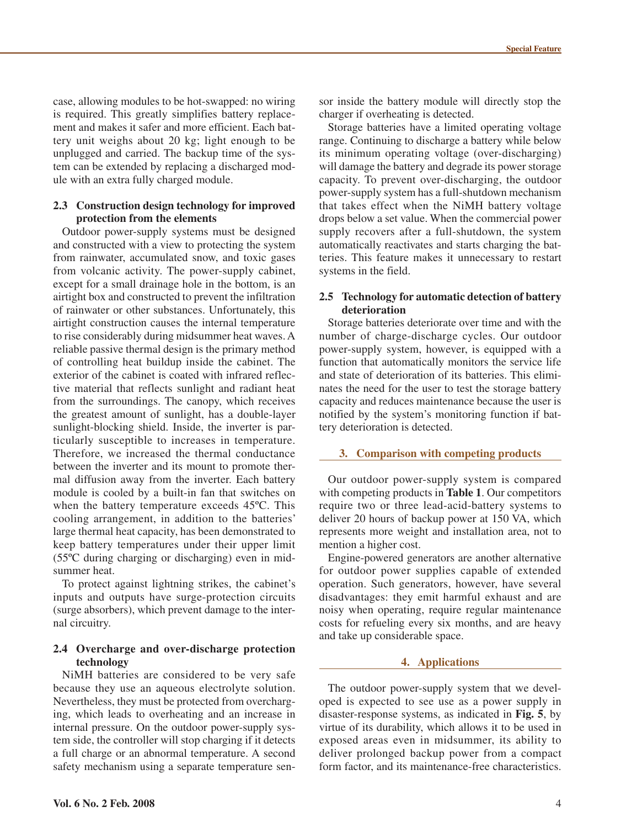case, allowing modules to be hot-swapped: no wiring is required. This greatly simplifies battery replacement and makes it safer and more efficient. Each battery unit weighs about 20 kg; light enough to be unplugged and carried. The backup time of the system can be extended by replacing a discharged module with an extra fully charged module.

#### **2.3 Construction design technology for improved protection from the elements**

Outdoor power-supply systems must be designed and constructed with a view to protecting the system from rainwater, accumulated snow, and toxic gases from volcanic activity. The power-supply cabinet, except for a small drainage hole in the bottom, is an airtight box and constructed to prevent the infiltration of rainwater or other substances. Unfortunately, this airtight construction causes the internal temperature to rise considerably during midsummer heat waves. A reliable passive thermal design is the primary method of controlling heat buildup inside the cabinet. The exterior of the cabinet is coated with infrared reflective material that reflects sunlight and radiant heat from the surroundings. The canopy, which receives the greatest amount of sunlight, has a double-layer sunlight-blocking shield. Inside, the inverter is particularly susceptible to increases in temperature. Therefore, we increased the thermal conductance between the inverter and its mount to promote thermal diffusion away from the inverter. Each battery module is cooled by a built-in fan that switches on when the battery temperature exceeds 45ºC. This cooling arrangement, in addition to the batteries' large thermal heat capacity, has been demonstrated to keep battery temperatures under their upper limit (55ºC during charging or discharging) even in midsummer heat.

To protect against lightning strikes, the cabinet's inputs and outputs have surge-protection circuits (surge absorbers), which prevent damage to the internal circuitry.

#### **2.4 Overcharge and over-discharge protection technology**

NiMH batteries are considered to be very safe because they use an aqueous electrolyte solution. Nevertheless, they must be protected from overcharging, which leads to overheating and an increase in internal pressure. On the outdoor power-supply system side, the controller will stop charging if it detects a full charge or an abnormal temperature. A second safety mechanism using a separate temperature sen-

sor inside the battery module will directly stop the charger if overheating is detected.

Storage batteries have a limited operating voltage range. Continuing to discharge a battery while below its minimum operating voltage (over-discharging) will damage the battery and degrade its power storage capacity. To prevent over-discharging, the outdoor power-supply system has a full-shutdown mechanism that takes effect when the NiMH battery voltage drops below a set value. When the commercial power supply recovers after a full-shutdown, the system automatically reactivates and starts charging the batteries. This feature makes it unnecessary to restart systems in the field.

#### **2.5 Technology for automatic detection of battery deterioration**

Storage batteries deteriorate over time and with the number of charge-discharge cycles. Our outdoor power-supply system, however, is equipped with a function that automatically monitors the service life and state of deterioration of its batteries. This eliminates the need for the user to test the storage battery capacity and reduces maintenance because the user is notified by the system's monitoring function if battery deterioration is detected.

#### **3. Comparison with competing products**

Our outdoor power-supply system is compared with competing products in **Table 1**. Our competitors require two or three lead-acid-battery systems to deliver 20 hours of backup power at 150 VA, which represents more weight and installation area, not to mention a higher cost.

Engine-powered generators are another alternative for outdoor power supplies capable of extended operation. Such generators, however, have several disadvantages: they emit harmful exhaust and are noisy when operating, require regular maintenance costs for refueling every six months, and are heavy and take up considerable space.

#### **4. Applications**

The outdoor power-supply system that we developed is expected to see use as a power supply in disaster-response systems, as indicated in **Fig. 5**, by virtue of its durability, which allows it to be used in exposed areas even in midsummer, its ability to deliver prolonged backup power from a compact form factor, and its maintenance-free characteristics.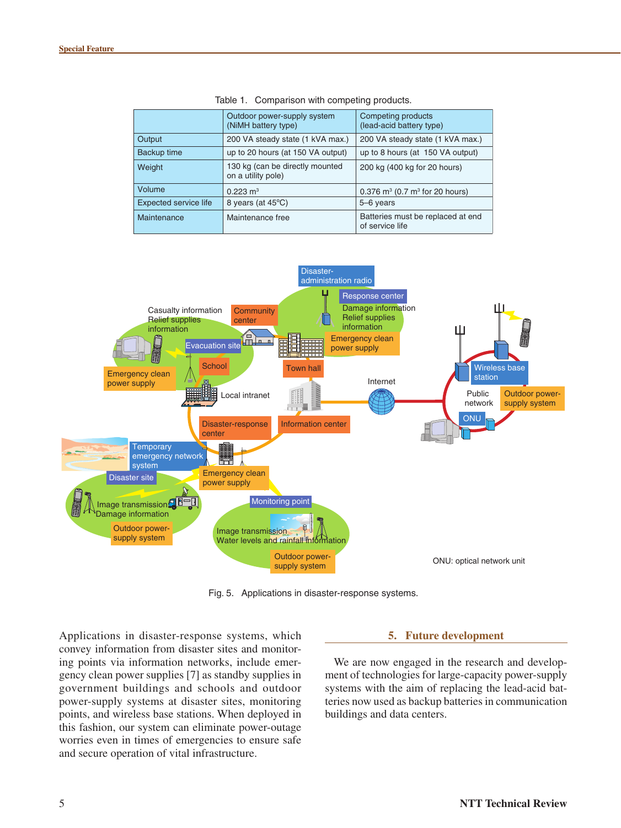|                              | Outdoor power-supply system<br>(NiMH battery type)    | Competing products<br>(lead-acid battery type)           |
|------------------------------|-------------------------------------------------------|----------------------------------------------------------|
| Output                       | 200 VA steady state (1 kVA max.)                      | 200 VA steady state (1 kVA max.)                         |
| Backup time                  | up to 20 hours (at 150 VA output)                     | up to 8 hours (at 150 VA output)                         |
| Weight                       | 130 kg (can be directly mounted<br>on a utility pole) | 200 kg (400 kg for 20 hours)                             |
| Volume                       | $0.223 \text{ m}^3$                                   | $0.376$ m <sup>3</sup> (0.7 m <sup>3</sup> for 20 hours) |
| <b>Expected service life</b> | 8 years (at 45°C)                                     | 5-6 years                                                |
| Maintenance                  | Maintenance free                                      | Batteries must be replaced at end<br>of service life     |





Fig. 5. Applications in disaster-response systems.

Applications in disaster-response systems, which convey information from disaster sites and monitoring points via information networks, include emergency clean power supplies [7] as standby supplies in government buildings and schools and outdoor power-supply systems at disaster sites, monitoring points, and wireless base stations. When deployed in this fashion, our system can eliminate power-outage worries even in times of emergencies to ensure safe and secure operation of vital infrastructure.

#### **5. Future development**

We are now engaged in the research and development of technologies for large-capacity power-supply systems with the aim of replacing the lead-acid batteries now used as backup batteries in communication buildings and data centers.